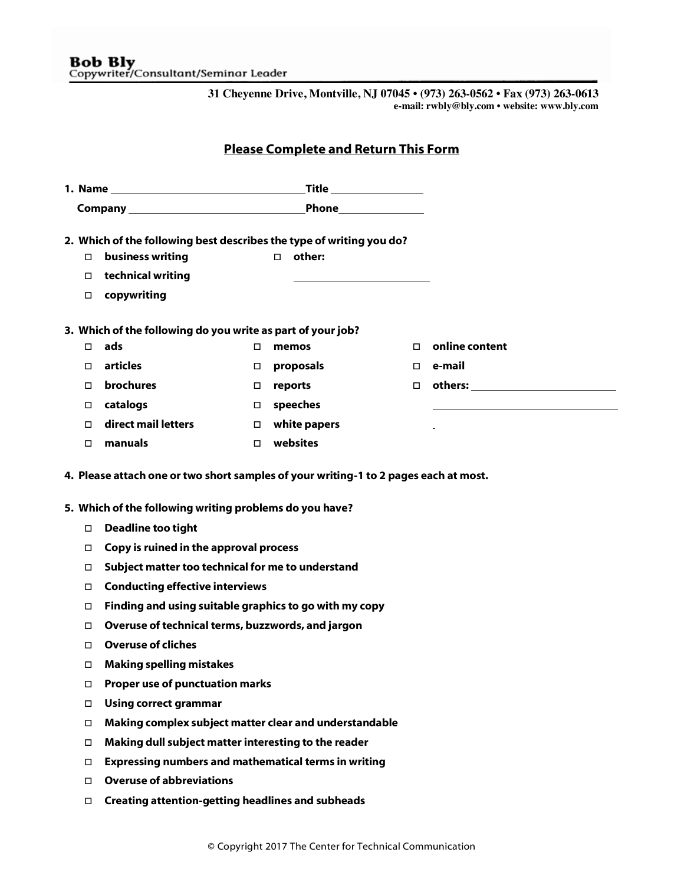**31 Cheyenne Drive, Montville, NJ 07045 • (973) 263-0562 • Fax (973) 263-0613 e-mail: rwbly@bly.com • website: www.bly.com**

## Please Complete and Return This Form

| Ο.     | 2. Which of the following best describes the type of writing you do?<br>business writing<br>□ technical writing<br>□ copywriting                |        | other:<br>$\Box$    |    |                  |  |  |
|--------|-------------------------------------------------------------------------------------------------------------------------------------------------|--------|---------------------|----|------------------|--|--|
|        | 3. Which of the following do you write as part of your job?                                                                                     |        |                     |    |                  |  |  |
| Π.     | ads                                                                                                                                             | $\Box$ | memos               | П. | online content   |  |  |
| П.     | articles                                                                                                                                        |        | $\Box$ proposals    |    | $\square$ e-mail |  |  |
| 0      | brochures                                                                                                                                       | $\Box$ | reports             |    |                  |  |  |
|        | □ catalogs                                                                                                                                      |        | $\square$ speeches  |    |                  |  |  |
| $\Box$ | direct mail letters                                                                                                                             |        | $\Box$ white papers |    |                  |  |  |
|        | manuals                                                                                                                                         |        | $\Box$ websites     |    |                  |  |  |
|        | 4. Please attach one or two short samples of your writing-1 to 2 pages each at most.<br>5. Which of the following writing problems do you have? |        |                     |    |                  |  |  |
|        | <b>Deadline too tight</b>                                                                                                                       |        |                     |    |                  |  |  |
|        | Copy is ruined in the approval process                                                                                                          |        |                     |    |                  |  |  |
| □      | Subject matter too technical for me to understand                                                                                               |        |                     |    |                  |  |  |
| 0      | <b>Conducting effective interviews</b>                                                                                                          |        |                     |    |                  |  |  |
|        | Finding and using suitable graphics to go with my copy<br>Overuse of technical terms, buzzwords, and jargon                                     |        |                     |    |                  |  |  |
| 0<br>п | <b>Overuse of cliches</b>                                                                                                                       |        |                     |    |                  |  |  |
| 0      | <b>Making spelling mistakes</b>                                                                                                                 |        |                     |    |                  |  |  |
| П      | <b>Proper use of punctuation marks</b>                                                                                                          |        |                     |    |                  |  |  |
| 0      | <b>Using correct grammar</b>                                                                                                                    |        |                     |    |                  |  |  |
| П      | Making complex subject matter clear and understandable                                                                                          |        |                     |    |                  |  |  |
| □      | Making dull subject matter interesting to the reader                                                                                            |        |                     |    |                  |  |  |
| □      | <b>Expressing numbers and mathematical terms in writing</b>                                                                                     |        |                     |    |                  |  |  |
| $\Box$ | <b>Overuse of abbreviations</b>                                                                                                                 |        |                     |    |                  |  |  |
| $\Box$ | <b>Creating attention-getting headlines and subheads</b>                                                                                        |        |                     |    |                  |  |  |
|        |                                                                                                                                                 |        |                     |    |                  |  |  |